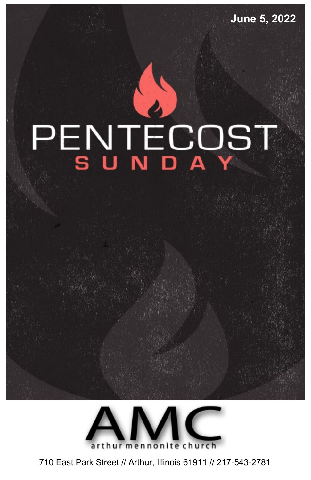**June 5, 2022**

# PENTECOST



710 East Park Street // Arthur, Illinois 61911 // 217-543-2781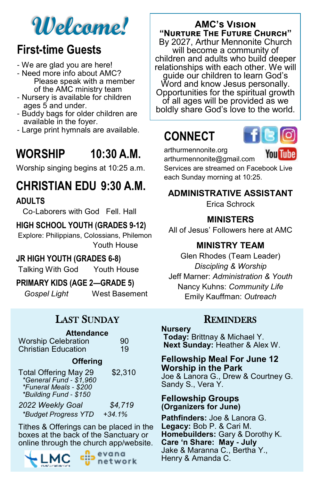# **Welcome!**

# **First-time Guests**

- We are glad you are here!
- Need more info about AMC? Please speak with a member of the AMC ministry team
- Nursery is available for children ages 5 and under.
- Buddy bags for older children are available in the foyer.
- Large print hymnals are available.

# **WORSHIP 10:30 A.M.**

Worship singing begins at 10:25 a.m.

# **CHRISTIAN EDU 9:30 A.M.**

**ADULTS**

Co-Laborers with God Fell. Hall

### **HIGH SCHOOL YOUTH (GRADES 9-12)**

Explore: Philippians, Colossians, Philemon Youth House

### **JR HIGH YOUTH (GRADES 6-8)**

Talking With God Youth House

### **PRIMARY KIDS (AGE 2—GRADE 5)**

*Gospel Light* West Basement

# LAST SUNDAY

| <b>Attendance</b>          |    |  |
|----------------------------|----|--|
| <b>Worship Celebration</b> | 90 |  |
| <b>Christian Education</b> | 19 |  |

### **Offering**

| <b>Total Offering May 29</b><br>*General Fund - \$1,960<br>*Funeral Meals - \$200<br>*Building Fund - \$150 | \$2,310  |
|-------------------------------------------------------------------------------------------------------------|----------|
| 2022 Weekly Goal                                                                                            | \$4,719  |
| *Budget Progress YTD                                                                                        | $+34.1%$ |

Tithes & Offerings can be placed in the boxes at the back of the Sanctuary or online through the church app/website.



evana network

### **AMC's Vision "Nurture The Future Church"**

By 2027, Arthur Mennonite Church will become a community of children and adults who build deeper relationships with each other. We will guide our children to learn God's Word and know Jesus personally. Opportunities for the spiritual growth of all ages will be provided as we boldly share God's love to the world.

# **CONNECT**



arthurmennonite.org

You Tube

arthurmennonite@gmail.com Services are streamed on Facebook Live each Sunday morning at 10:25.

### **ADMINISTRATIVE ASSISTANT**

Erica Schrock

### **MINISTERS**

All of Jesus' Followers here at AMC

### **MINISTRY TEAM**

Glen Rhodes (Team Leader) *Discipling & Worship*  Jeff Marner: *Administration & Youth* Nancy Kuhns: *Community Life* Emily Kauffman: *Outreach*

### **REMINDERS**

### **Nursery**

**Today:** Brittnay & Michael Y. **Next Sunday:** Heather & Alex W.

### **Fellowship Meal For June 12 Worship in the Park** Joe & Lanora G., Drew & Courtney G. Sandy S., Vera Y.

### **Fellowship Groups (Organizers for June)**

**Pathfinders:** Joe & Lanora G. **Legacy:** Bob P. & Cari M. **Homebuilders:** Gary & Dorothy K. **Care 'n Share: May - July** Jake & Maranna C., Bertha Y., Henry & Amanda C.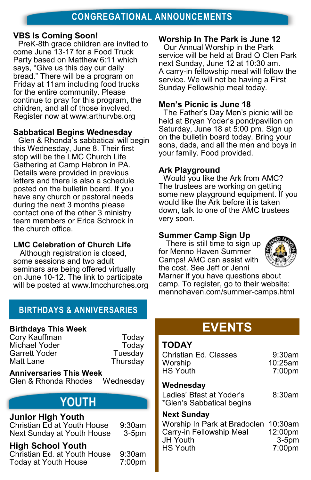### **VBS Is Coming Soon!**

PreK-8th grade children are invited to come June 13-17 for a Food Truck Party based on Matthew 6:11 which says, "Give us this day our daily bread." There will be a program on Friday at 11am including food trucks for the entire community. Please continue to pray for this program, the children, and all of those involved. Register now at www.arthurvbs.org

### **Sabbatical Begins Wednesday**

Glen & Rhonda's sabbatical will begin this Wednesday, June 8. Their first stop will be the LMC Church Life Gathering at Camp Hebron in PA. Details were provided in previous letters and there is also a schedule posted on the bulletin board. If you have any church or pastoral needs during the next 3 months please contact one of the other 3 ministry team members or Erica Schrock in the church office.

### **LMC Celebration of Church Life**

Although registration is closed, some sessions and two adult seminars are being offered virtually on June 10-12. The link to participate will be posted at www.lmcchurches.org

### **Worship In The Park is June 12**

Our Annual Worship in the Park service will be held at Brad O Clen Park next Sunday, June 12 at 10:30 am. A carry-in fellowship meal will follow the service. We will not be having a First Sunday Fellowship meal today.

### **Men's Picnic is June 18**

The Father's Day Men's picnic will be held at Bryan Yoder's pond/pavilion on Saturday, June 18 at 5:00 pm. Sign up on the bulletin board today. Bring your sons, dads, and all the men and boys in your family. Food provided.

### **Ark Playground**

Would you like the Ark from AMC? The trustees are working on getting some new playground equipment. If you would like the Ark before it is taken down, talk to one of the AMC trustees very soon.

### **Summer Camp Sign Up**

There is still time to sign up for Menno Haven Summer Camps! AMC can assist with the cost. See Jeff or Jenni



Marner if you have questions about camp. To register, go to their website: mennohaven.com/summer-camps.html

### **BIRTHDAYS & ANNIVERSARIES**

### **Birthdays This Week**

Cory Kauffman **Today** Michael Yoder **Today** Garrett Yoder **Tuesday** Matt Lane **Thursday** 

**Anniversaries This Week** Glen & Rhonda Rhodes Wednesday

# **YOUTH**

### **Junior High Youth**

Christian Ed at Youth House 9:30am Next Sunday at Youth House 3-5pm

### **High School Youth**

Christian Ed. at Youth House 9:30am Today at Youth House 7:00pm **EVENTS**

### **TODAY**

| Christian Ed. Classes | $9:30$ am  |
|-----------------------|------------|
| Worship               | $10:25$ am |
| <b>HS Youth</b>       | 7:00pm     |

### **Wednesday**

Ladies' Bfast at Yoder's 8:30am \*Glen's Sabbatical begins

### **Next Sunday**

Worship In Park at Bradoclen 10:30am Carry-in Fellowship Meal 12:00pm JH Youth 3-5pm HS Youth 7:00pm